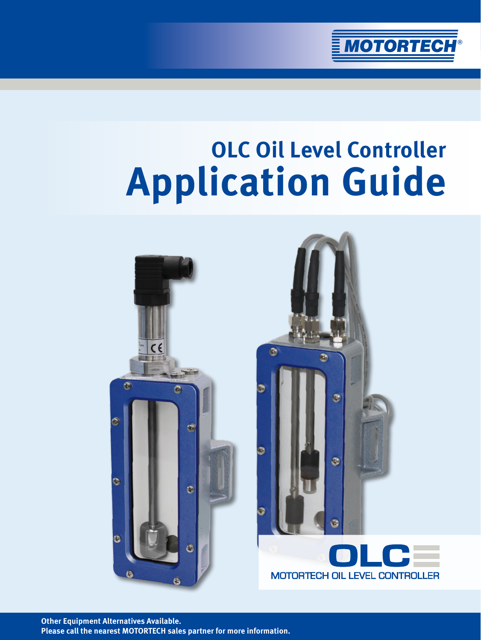

# **OLC Oil Level Controller Application Guide**





**Other Equipment Alternatives Available. Please call the nearest MOTORTECH sales partner for more information.**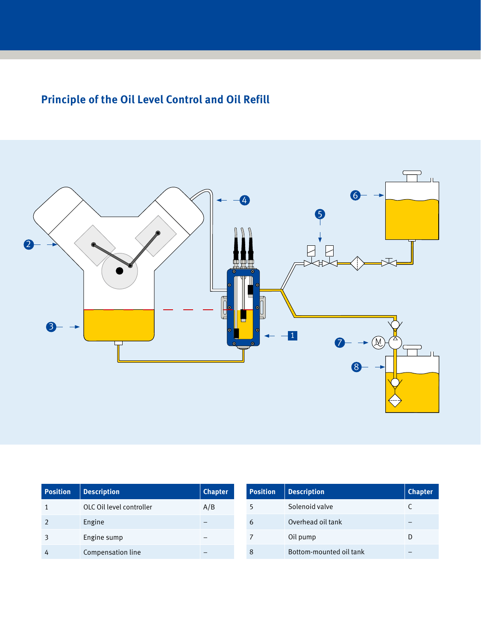# **Principle of the Oil Level Control and Oil Refill**



| <b>Position</b> | <b>Description</b>       | <b>Chapter</b> | <b>Position</b> | <b>Description</b>      | <b>Chapter</b> |
|-----------------|--------------------------|----------------|-----------------|-------------------------|----------------|
|                 | OLC Oil level controller | A/B            |                 | Solenoid valve          |                |
|                 | Engine                   |                | 6               | Overhead oil tank       |                |
|                 | Engine sump              |                |                 | Oil pump                | D              |
| 4               | Compensation line        |                | 8               | Bottom-mounted oil tank | -              |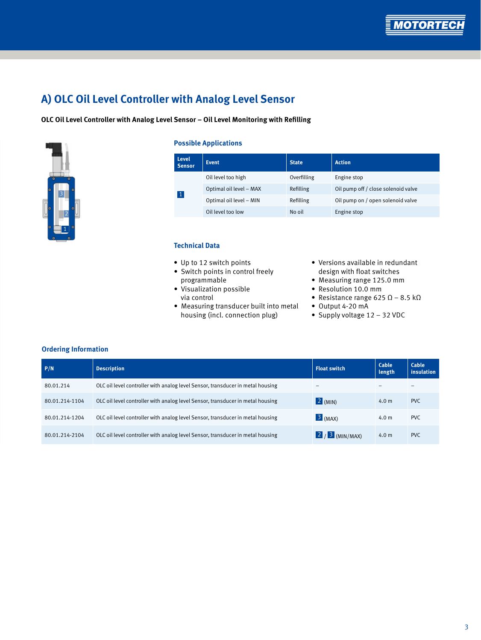

# **A) OLC Oil Level Controller with Analog Level Sensor**

### **OLC Oil Level Controller with Analog Level Sensor – Oil Level Monitoring with Refilling**



### **Possible Applications**

| <b>Level</b><br><b>Sensor</b> | <b>Event</b>            | <b>State</b> | <b>Action</b>                       |
|-------------------------------|-------------------------|--------------|-------------------------------------|
| $\vert$ 1                     | Oil level too high      | Overfilling  | Engine stop                         |
|                               | Optimal oil level - MAX | Refilling    | Oil pump off / close solenoid valve |
|                               | Optimal oil level - MIN | Refilling    | Oil pump on / open solenoid valve   |
|                               | Oil level too low       | No oil       | Engine stop                         |

### **Technical Data**

- Up to 12 switch points
- Switch points in control freely programmable
- Visualization possible via control
- Measuring transducer built into metal housing (incl. connection plug)
- Versions available in redundant design with float switches
- Measuring range 125.0 mm
- Resolution 10.0 mm
- Resistance range 625  $\Omega$  8.5 k $\Omega$
- Output 4-20 mA
- Supply voltage 12 32 VDC

| P/N            | <b>Description</b>                                                             | <b>Float switch</b>      | Cable<br>length  | Cable<br><i>insulation</i> |
|----------------|--------------------------------------------------------------------------------|--------------------------|------------------|----------------------------|
| 80.01.214      | OLC oil level controller with analog level Sensor, transducer in metal housing | $\overline{\phantom{0}}$ |                  |                            |
| 80.01.214-1104 | OLC oil level controller with analog level Sensor, transducer in metal housing | $\boxed{2}$ (MIN)        | 4.0 <sub>m</sub> | PVC.                       |
| 80.01.214-1204 | OLC oil level controller with analog level Sensor, transducer in metal housing | $3$ (MAX)                | 4.0 <sub>m</sub> | PV <sub>C</sub>            |
| 80.01.214-2104 | OLC oil level controller with analog level Sensor, transducer in metal housing | $2/3$ (MIN/MAX)          | 4.0 <sub>m</sub> | <b>PVC</b>                 |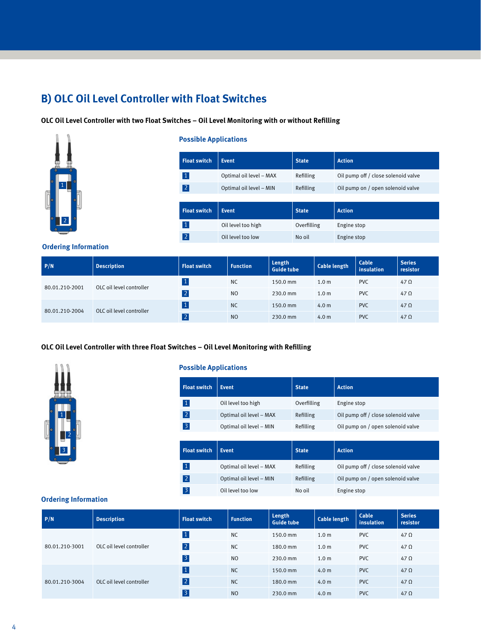# **B) OLC Oil Level Controller with Float Switches**

### **OLC Oil Level Controller with two Float Switches – Oil Level Monitoring with or without Refilling**



### **Possible Applications**

| <b>Float switch</b> | <b>Event</b>            | <b>State</b> | <b>Action</b>                       |
|---------------------|-------------------------|--------------|-------------------------------------|
| $\vert$ 1           | Optimal oil level - MAX | Refilling    | Oil pump off / close solenoid valve |
| 2                   | Optimal oil level - MIN | Refilling    | Oil pump on / open solenoid valve   |
|                     |                         |              |                                     |
| <b>Float switch</b> | <b>Event</b>            | <b>State</b> | <b>Action</b>                       |
| $\vert$ 1           | Oil level too high      | Overfilling  | Engine stop                         |
| 2                   | Oil level too low       | No oil       | Engine stop                         |

### **Ordering Information**

| P/N            | <b>Description</b>       | <b>Float switch</b> | <b>Function</b> | Length<br><b>Guide tube</b> | <b>Cable length</b> | Cable<br>insulation | <b>Series</b><br>resistor |
|----------------|--------------------------|---------------------|-----------------|-----------------------------|---------------------|---------------------|---------------------------|
| 80.01.210-2001 | OLC oil level controller |                     | <b>NC</b>       | 150.0 mm                    | 1.0 <sub>m</sub>    | <b>PVC</b>          | $47 \Omega$               |
|                |                          | 2                   | N <sub>O</sub>  | 230.0 mm                    | 1.0 <sub>m</sub>    | <b>PVC</b>          | $47 \Omega$               |
| 80.01.210-2004 | OLC oil level controller |                     | <b>NC</b>       | 150.0 mm                    | 4.0 <sub>m</sub>    | <b>PVC</b>          | $47 \Omega$               |
|                |                          | $ 2\rangle$         | N <sub>O</sub>  | 230.0 mm                    | 4.0 <sub>m</sub>    | <b>PVC</b>          | $47 \Omega$               |

### **OLC Oil Level Controller with three Float Switches – Oil Level Monitoring with Refilling**



### **Possible Applications**

| <b>Float switch</b>     | <b>Event</b>            | <b>State</b> | <b>Action</b>                       |
|-------------------------|-------------------------|--------------|-------------------------------------|
| $\vert$ 1               | Oil level too high      | Overfilling  | Engine stop                         |
| 2                       | Optimal oil level - MAX | Refilling    | Oil pump off / close solenoid valve |
| $\overline{\mathbf{3}}$ | Optimal oil level - MIN | Refilling    | Oil pump on / open solenoid valve   |
|                         |                         |              |                                     |
|                         |                         |              |                                     |
| <b>Float switch</b>     | <b>Event</b>            | <b>State</b> | <b>Action</b>                       |
| $\vert$ 1               | Optimal oil level - MAX | Refilling    | Oil pump off / close solenoid valve |
| 2                       | Optimal oil level - MIN | Refilling    | Oil pump on / open solenoid valve   |

| P/N            | <b>Description</b>       | <b>Float switch</b> | <b>Function</b> | Length<br><b>Guide tube</b> | <b>Cable length</b> | Cable<br>insulation | <b>Series</b><br>resistor |
|----------------|--------------------------|---------------------|-----------------|-----------------------------|---------------------|---------------------|---------------------------|
| 80.01.210-3001 | OLC oil level controller | $\vert$ 1           | <b>NC</b>       | 150.0 mm                    | 1.0 <sub>m</sub>    | <b>PVC</b>          | $47 \Omega$               |
|                |                          | 2                   | N <sub>C</sub>  | 180.0 mm                    | 1.0 <sub>m</sub>    | <b>PVC</b>          | $47 \Omega$               |
|                |                          | $\vert$ 3           | <sub>NO</sub>   | 230.0 mm                    | 1.0 <sub>m</sub>    | <b>PVC</b>          | $47 \Omega$               |
| 80.01.210-3004 | OLC oil level controller | $\vert$ 1           | <b>NC</b>       | 150.0 mm                    | 4.0 <sub>m</sub>    | <b>PVC</b>          | $47 \Omega$               |
|                |                          | 2                   | <b>NC</b>       | 180.0 mm                    | 4.0 <sub>m</sub>    | <b>PVC</b>          | $47 \Omega$               |
|                |                          | $\vert 3 \vert$     | <sub>NO</sub>   | 230.0 mm                    | 4.0 <sub>m</sub>    | <b>PVC</b>          | $47 \Omega$               |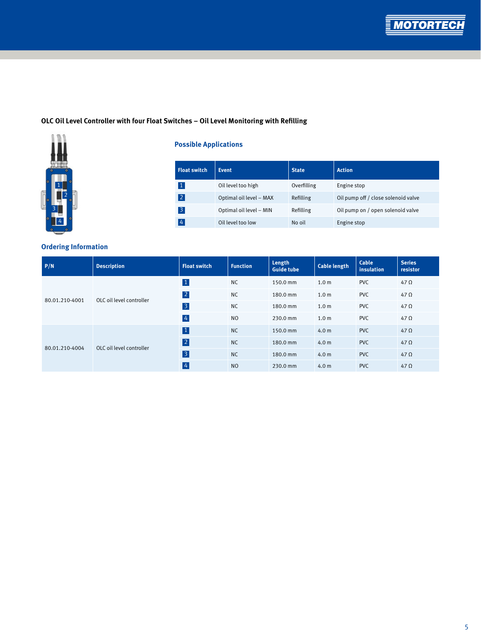**MOTORT** 

### **OLC Oil Level Controller with four Float Switches – Oil Level Monitoring with Refilling**



### **Possible Applications**

| <b>Float switch</b> | <b>Event</b>            | <b>State</b>     | <b>Action</b>                       |
|---------------------|-------------------------|------------------|-------------------------------------|
| $\vert$ 1           | Oil level too high      | Overfilling      | Engine stop                         |
| 2                   | Optimal oil level - MAX | <b>Refilling</b> | Oil pump off / close solenoid valve |
| $\vert 3 \vert$     | Optimal oil level - MIN | Refilling        | Oil pump on / open solenoid valve   |
| $\frac{1}{4}$       | Oil level too low       | No oil           | Engine stop                         |

| P/N            | <b>Description</b>       | <b>Float switch</b> | <b>Function</b> | Length<br><b>Guide tube</b> | <b>Cable length</b> | Cable<br>insulation | <b>Series</b><br>resistor |
|----------------|--------------------------|---------------------|-----------------|-----------------------------|---------------------|---------------------|---------------------------|
| 80.01.210-4001 | OLC oil level controller | $\vert 1 \vert$     | <b>NC</b>       | 150.0 mm                    | 1.0 <sub>m</sub>    | <b>PVC</b>          | $47 \Omega$               |
|                |                          | 2                   | <b>NC</b>       | 180.0 mm                    | 1.0 <sub>m</sub>    | <b>PVC</b>          | $47 \Omega$               |
|                |                          | $\overline{3}$      | <b>NC</b>       | 180.0 mm                    | 1.0 <sub>m</sub>    | <b>PVC</b>          | $47 \Omega$               |
|                |                          | $\overline{4}$      | N <sub>O</sub>  | 230.0 mm                    | 1.0 <sub>m</sub>    | <b>PVC</b>          | $47 \Omega$               |
| 80.01.210-4004 | OLC oil level controller | $\vert 1 \vert$     | <b>NC</b>       | 150.0 mm                    | 4.0 <sub>m</sub>    | <b>PVC</b>          | $47 \Omega$               |
|                |                          | 2                   | <b>NC</b>       | 180.0 mm                    | 4.0 <sub>m</sub>    | <b>PVC</b>          | $47 \Omega$               |
|                |                          | $\vert$ 3           | <b>NC</b>       | 180.0 mm                    | 4.0 <sub>m</sub>    | <b>PVC</b>          | $47 \Omega$               |
|                |                          | $\vert 4 \vert$     | N <sub>O</sub>  | 230.0 mm                    | 4.0 <sub>m</sub>    | <b>PVC</b>          | $47 \Omega$               |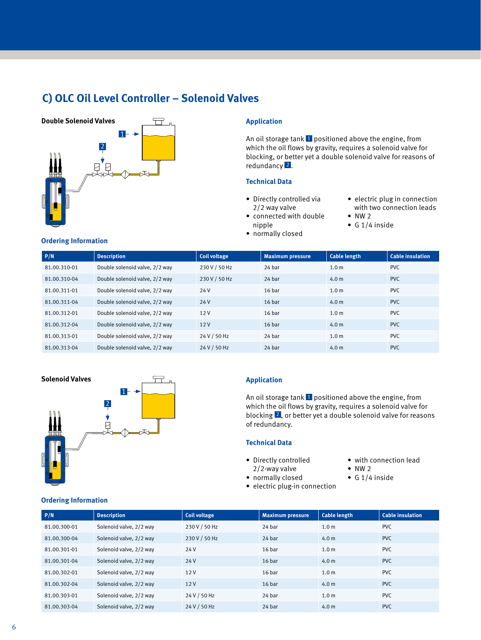## **C) OLC Oil Level Controller – Solenoid Valves**



An oil storage  $tank$  **1** positioned above the engine, from which the oil flows by gravity, requires a solenoid valve for blocking, or better yet a double solenoid valve for reasons of redundancy<sup>2</sup>.

### **Technical Data**

- Directly controlled via 2/2 way valve
- connected with double nipple
- normally closed
- electric plug in connection with two connection leads  $\bullet$  NW 2
- 
- G 1/4 inside
- **P/N Description Coil voltage Maximum pressure Cable length Cable insulation** 81.00.310-01 Double solenoid valve, 2/2 way 230 V / 50 Hz 24 bar 1.0 m PVC 81.00.310-04 Double solenoid valve, 2/2 way 230 V / 50 Hz 24 bar 4.0 m PVC 81.00.311-01 Double solenoid valve, 2/2 way 24 V 16 bar 1.0 m PVC 81.00.311-04 Double solenoid valve, 2/2 way 24 V 16 bar 4.0 m PVC 81.00.312-01 Double solenoid valve, 2/2 way 12 V 16 bar 1.0 m PVC 81.00.312-04 Double solenoid valve,  $2/2$  way 12 V 16 bar 4.0 m 4.0 m PVC 81.00.313-01 Double solenoid valve,  $2/2$  way 24 V / 50 Hz 24 bar 1.0 m PVC 81.00.313-04 Double solenoid valve, 2/2 way 24 V / 50 Hz 24 bar 4.0 m PVC



An oil storage  $t$ ank  $1$  positioned above the engine, from which the oil flows by gravity, requires a solenoid valve for blocking 2 , or better yet a double solenoid valve for reasons of redundancy.

### **Technical Data**

- Directly controlled
- 2/2-way valve
- normally closed
- electric plug-in connection
- with connection lead
- NW 2
- G 1/4 inside

### **Ordering Information**

| P/N          | <b>Description</b>      | <b>Coil voltage</b> | <b>Maximum pressure</b> | <b>Cable length</b> | <b>Cable insulation</b> |
|--------------|-------------------------|---------------------|-------------------------|---------------------|-------------------------|
| 81.00.300-01 | Solenoid valve, 2/2 way | 230 V / 50 Hz       | 24 bar                  | 1.0 <sub>m</sub>    | <b>PVC</b>              |
| 81.00.300-04 | Solenoid valve, 2/2 way | 230 V / 50 Hz       | 24 bar                  | 4.0 m               | PVC.                    |
| 81.00.301-01 | Solenoid valve, 2/2 way | 24 V                | 16 <sub>bar</sub>       | 1.0 <sub>m</sub>    | <b>PVC</b>              |
| 81.00.301-04 | Solenoid valve, 2/2 way | 24 V                | 16 <sub>bar</sub>       | 4.0 m               | PVC.                    |
| 81.00.302-01 | Solenoid valve, 2/2 way | 12V                 | 16 <sub>bar</sub>       | 1.0 <sub>m</sub>    | PVC.                    |
| 81.00.302-04 | Solenoid valve, 2/2 way | 12V                 | 16 <sub>bar</sub>       | 4.0 m               | PVC.                    |
| 81.00.303-01 | Solenoid valve, 2/2 way | 24 V / 50 Hz        | 24 bar                  | 1.0 <sub>m</sub>    | PVC.                    |
| 81.00.303-04 | Solenoid valve, 2/2 way | 24 V / 50 Hz        | 24 bar                  | 4.0 <sub>m</sub>    | <b>PVC</b>              |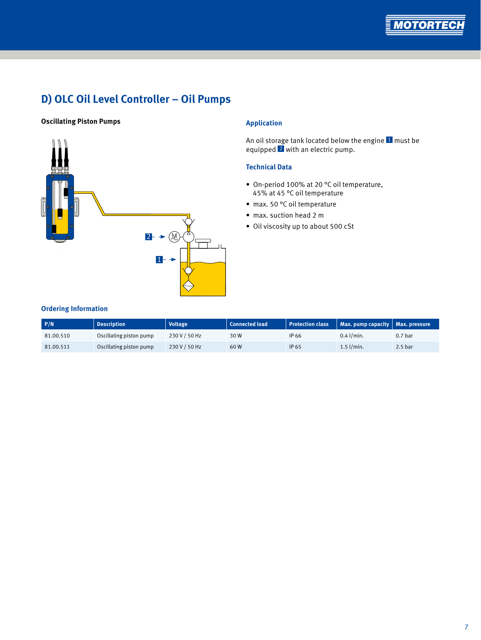

# **D) OLC Oil Level Controller – Oil Pumps**

### **Oscillating Piston Pumps Application**



An oil storage tank located below the engine <sup>1</sup> must be equipped 2 with an electric pump.

### **Technical Data**

- On-period 100% at 20 °C oil temperature, 45% at 45 °C oil temperature
- max. 50 °C oil temperature
- max. suction head 2 m
- Oil viscosity up to about 500 cSt

| P/N       | <b>Description</b>      | <b>Voltage</b> | <b>Connected load</b> | <b>Protection class</b> | Max. pump capacity $\vert$ Max. pressure |                    |
|-----------|-------------------------|----------------|-----------------------|-------------------------|------------------------------------------|--------------------|
| 81.00.510 | Oscillating piston pump | 230 V / 50 Hz  | 30 W                  | IP 66                   | $0.4$ l/min.                             | 0.7 <sub>bar</sub> |
| 81.00.511 | Oscillating piston pump | 230 V / 50 Hz  | 60W                   | IP 65                   | $1.5$ l/min.                             | 2.5 <sub>bar</sub> |